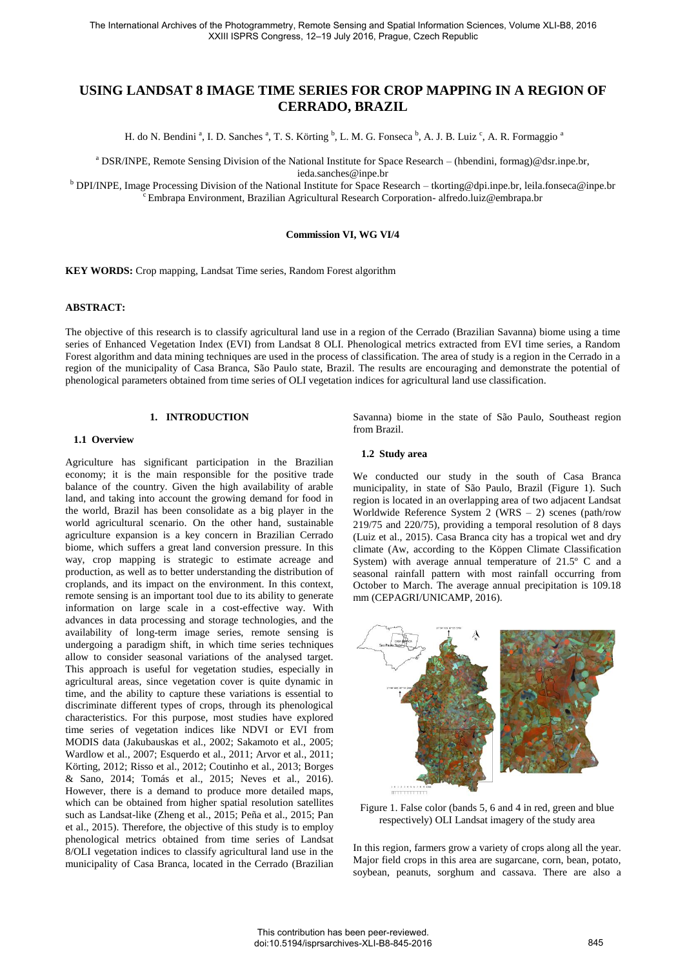# **USING LANDSAT 8 IMAGE TIME SERIES FOR CROP MAPPING IN A REGION OF CERRADO, BRAZIL**

H. do N. Bendini<sup>a</sup>, I. D. Sanches<sup>a</sup>, T. S. Körting <sup>b</sup>, L. M. G. Fonseca <sup>b</sup>, A. J. B. Luiz<sup>c</sup>, A. R. Formaggio<sup>a</sup>

a DSR/INPE, Remote Sensing Division of the National Institute for Space Research – (hbendini, formag)@dsr.inpe.br,

ieda.sanches@inpe.br

<sup>b</sup> DPI/INPE, Image Processing Division of the National Institute for Space Research – tkorting@dpi.inpe.br, leila.fonseca@inpe.br <sup>c</sup>Embrapa Environment, Brazilian Agricultural Research Corporation- alfredo.luiz@embrapa.br

#### **Commission VI, WG VI/4**

**KEY WORDS:** Crop mapping, Landsat Time series, Random Forest algorithm

# **ABSTRACT:**

The objective of this research is to classify agricultural land use in a region of the Cerrado (Brazilian Savanna) biome using a time series of Enhanced Vegetation Index (EVI) from Landsat 8 OLI. Phenological metrics extracted from EVI time series, a Random Forest algorithm and data mining techniques are used in the process of classification. The area of study is a region in the Cerrado in a region of the municipality of Casa Branca, São Paulo state, Brazil. The results are encouraging and demonstrate the potential of phenological parameters obtained from time series of OLI vegetation indices for agricultural land use classification.

# **1. INTRODUCTION**

# **1.1 Overview**

Agriculture has significant participation in the Brazilian economy; it is the main responsible for the positive trade balance of the country. Given the high availability of arable land, and taking into account the growing demand for food in the world, Brazil has been consolidate as a big player in the world agricultural scenario. On the other hand, sustainable agriculture expansion is a key concern in Brazilian Cerrado biome, which suffers a great land conversion pressure. In this way, crop mapping is strategic to estimate acreage and production, as well as to better understanding the distribution of croplands, and its impact on the environment. In this context, remote sensing is an important tool due to its ability to generate information on large scale in a cost-effective way. With advances in data processing and storage technologies, and the availability of long-term image series, remote sensing is undergoing a paradigm shift, in which time series techniques allow to consider seasonal variations of the analysed target. This approach is useful for vegetation studies, especially in agricultural areas, since vegetation cover is quite dynamic in time, and the ability to capture these variations is essential to discriminate different types of crops, through its phenological characteristics. For this purpose, most studies have explored time series of vegetation indices like NDVI or EVI from MODIS data (Jakubauskas et al., 2002; Sakamoto et al., 2005; Wardlow et al., 2007; Esquerdo et al., 2011; Arvor et al., 2011; Körting, 2012; Risso et al., 2012; Coutinho et al., 2013; Borges & Sano, 2014; Tomás et al., 2015; Neves et al., 2016). However, there is a demand to produce more detailed maps, which can be obtained from higher spatial resolution satellites such as Landsat-like (Zheng et al., 2015; Peña et al., 2015; Pan et al., 2015). Therefore, the objective of this study is to employ phenological metrics obtained from time series of Landsat 8/OLI vegetation indices to classify agricultural land use in the municipality of Casa Branca, located in the Cerrado (Brazilian

Savanna) biome in the state of São Paulo, Southeast region from Brazil.

#### **1.2 Study area**

We conducted our study in the south of Casa Branca municipality, in state of São Paulo, Brazil (Figure 1). Such region is located in an overlapping area of two adjacent Landsat Worldwide Reference System 2 (WRS – 2) scenes (path/row 219/75 and 220/75), providing a temporal resolution of 8 days (Luiz et al., 2015). Casa Branca city has a tropical wet and dry climate (Aw, according to the Köppen Climate Classification System) with average annual temperature of 21.5º C and a seasonal rainfall pattern with most rainfall occurring from October to March. The average annual precipitation is 109.18 mm (CEPAGRI/UNICAMP, 2016).



Figure 1. False color (bands 5, 6 and 4 in red, green and blue respectively) OLI Landsat imagery of the study area

In this region, farmers grow a variety of crops along all the year. Major field crops in this area are sugarcane, corn, bean, potato, soybean, peanuts, sorghum and cassava. There are also a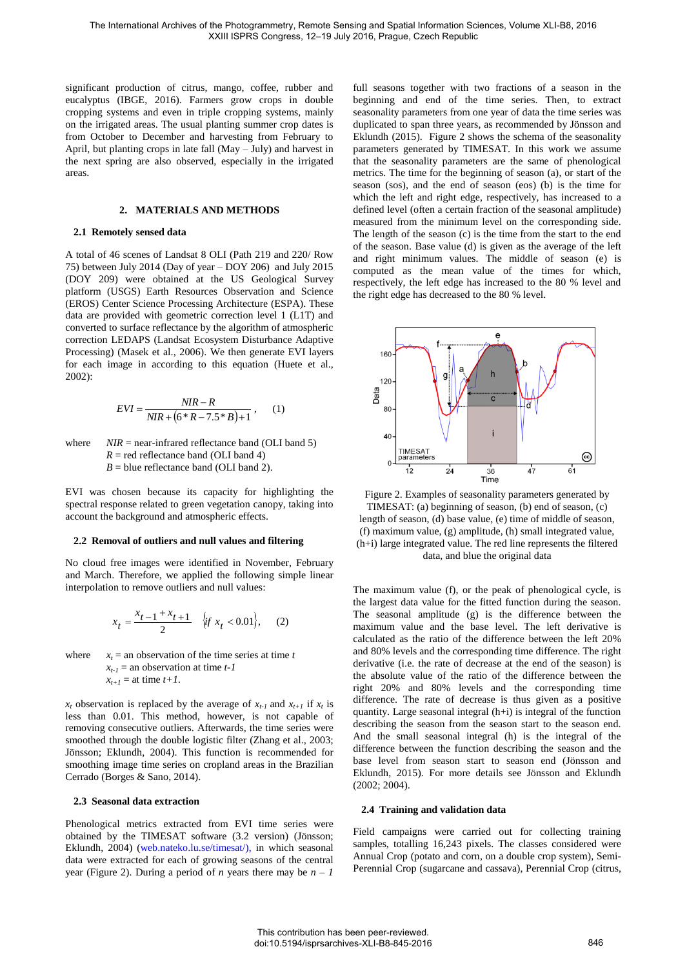significant production of citrus, mango, coffee, rubber and eucalyptus (IBGE, 2016). Farmers grow crops in double cropping systems and even in triple cropping systems, mainly on the irrigated areas. The usual planting summer crop dates is from October to December and harvesting from February to April, but planting crops in late fall (May – July) and harvest in the next spring are also observed, especially in the irrigated areas.

# **2. MATERIALS AND METHODS**

#### **2.1 Remotely sensed data**

A total of 46 scenes of Landsat 8 OLI (Path 219 and 220/ Row 75) between July 2014 (Day of year – DOY 206) and July 2015 (DOY 209) were obtained at the US Geological Survey platform (USGS) Earth Resources Observation and Science (EROS) Center Science Processing Architecture (ESPA). These data are provided with geometric correction level 1 (L1T) and converted to surface reflectance by the algorithm of atmospheric correction LEDAPS (Landsat Ecosystem Disturbance Adaptive Processing) (Masek et al., 2006). We then generate EVI layers for each image in according to this equation (Huete et al., 2002):

$$
EVI = \frac{NIR - R}{NIR + (6 * R - 7.5 * B) + 1},
$$
 (1)

where  $NIR =$  near-infrared reflectance band (OLI band 5)  $R =$  red reflectance band (OLI band 4)  $B =$  blue reflectance band (OLI band 2).

EVI was chosen because its capacity for highlighting the spectral response related to green vegetation canopy, taking into account the background and atmospheric effects.

#### **2.2 Removal of outliers and null values and filtering**

No cloud free images were identified in November, February and March. Therefore, we applied the following simple linear interpolation to remove outliers and null values:

$$
x_t = \frac{x_{t-1} + x_{t+1}}{2} \quad \{\text{if } x_t < 0.01\}, \qquad (2)
$$

where *x<sup>t</sup>*  $x_t$  = an observation of the time series at time *t*  $x_{t-1}$  = an observation at time *t*-*I*  $x_{t+1}$  = at time  $t+1$ .

 $x_t$  observation is replaced by the average of  $x_{t-1}$  and  $x_{t+1}$  if  $x_t$  is less than 0.01. This method, however, is not capable of removing consecutive outliers. Afterwards, the time series were smoothed through the double logistic filter (Zhang et al., 2003; Jönsson; Eklundh, 2004). This function is recommended for smoothing image time series on cropland areas in the Brazilian Cerrado (Borges & Sano, 2014).

#### **2.3 Seasonal data extraction**

Phenological metrics extracted from EVI time series were obtained by the TIMESAT software (3.2 version) (Jönsson; Eklundh, 2004) [\(web.nateko.lu.se/timesat/\),](web.nateko.lu.se/timesat/) in which seasonal data were extracted for each of growing seasons of the central year (Figure 2). During a period of *n* years there may be  $n - 1$ 

full seasons together with two fractions of a season in the beginning and end of the time series. Then, to extract seasonality parameters from one year of data the time series was duplicated to span three years, as recommended by Jönsson and Eklundh (2015). Figure 2 shows the schema of the seasonality parameters generated by TIMESAT. In this work we assume that the seasonality parameters are the same of phenological metrics. The time for the beginning of season (a), or start of the season (sos), and the end of season (eos) (b) is the time for which the left and right edge, respectively, has increased to a defined level (often a certain fraction of the seasonal amplitude) measured from the minimum level on the corresponding side. The length of the season (c) is the time from the start to the end of the season. Base value (d) is given as the average of the left and right minimum values. The middle of season (e) is computed as the mean value of the times for which, respectively, the left edge has increased to the 80 % level and the right edge has decreased to the 80 % level.



Figure 2. Examples of seasonality parameters generated by TIMESAT: (a) beginning of season, (b) end of season, (c) length of season, (d) base value, (e) time of middle of season, (f) maximum value, (g) amplitude, (h) small integrated value, (h+i) large integrated value. The red line represents the filtered data, and blue the original data

The maximum value (f), or the peak of phenological cycle, is the largest data value for the fitted function during the season. The seasonal amplitude (g) is the difference between the maximum value and the base level. The left derivative is calculated as the ratio of the difference between the left 20% and 80% levels and the corresponding time difference. The right derivative (i.e. the rate of decrease at the end of the season) is the absolute value of the ratio of the difference between the right 20% and 80% levels and the corresponding time difference. The rate of decrease is thus given as a positive quantity. Large seasonal integral  $(h+i)$  is integral of the function describing the season from the season start to the season end. And the small seasonal integral (h) is the integral of the difference between the function describing the season and the base level from season start to season end (Jönsson and Eklundh, 2015). For more details see Jönsson and Eklundh (2002; 2004).

#### **2.4 Training and validation data**

Field campaigns were carried out for collecting training samples, totalling 16,243 pixels. The classes considered were Annual Crop (potato and corn, on a double crop system), Semi-Perennial Crop (sugarcane and cassava), Perennial Crop (citrus,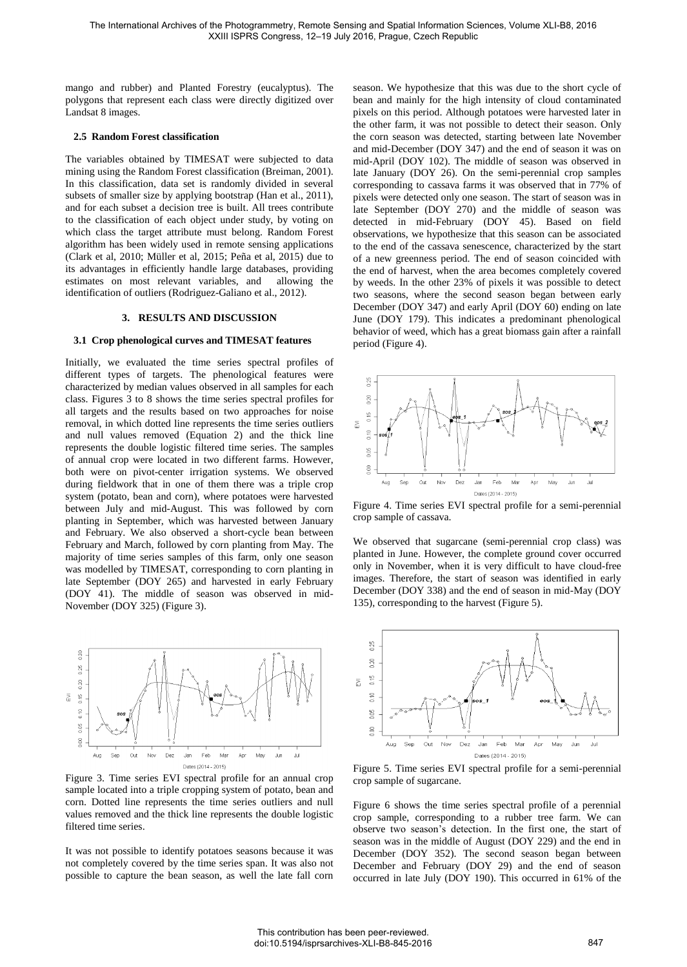mango and rubber) and Planted Forestry (eucalyptus). The polygons that represent each class were directly digitized over Landsat 8 images.

# **2.5 Random Forest classification**

The variables obtained by TIMESAT were subjected to data mining using the Random Forest classification (Breiman, 2001). In this classification, data set is randomly divided in several subsets of smaller size by applying bootstrap (Han et al., 2011), and for each subset a decision tree is built. All trees contribute to the classification of each object under study, by voting on which class the target attribute must belong. Random Forest algorithm has been widely used in remote sensing applications (Clark et al, 2010; Müller et al, 2015; Peña et al, 2015) due to its advantages in efficiently handle large databases, providing estimates on most relevant variables, and identification of outliers (Rodriguez-Galiano et al., 2012).

#### **3. RESULTS AND DISCUSSION**

#### **3.1 Crop phenological curves and TIMESAT features**

Initially, we evaluated the time series spectral profiles of different types of targets. The phenological features were characterized by median values observed in all samples for each class. Figures 3 to 8 shows the time series spectral profiles for all targets and the results based on two approaches for noise removal, in which dotted line represents the time series outliers and null values removed (Equation 2) and the thick line represents the double logistic filtered time series. The samples of annual crop were located in two different farms. However, both were on pivot-center irrigation systems. We observed during fieldwork that in one of them there was a triple crop system (potato, bean and corn), where potatoes were harvested between July and mid-August. This was followed by corn planting in September, which was harvested between January and February. We also observed a short-cycle bean between February and March, followed by corn planting from May. The majority of time series samples of this farm, only one season was modelled by TIMESAT, corresponding to corn planting in late September (DOY 265) and harvested in early February (DOY 41). The middle of season was observed in mid-November (DOY 325) (Figure 3).



Figure 3. Time series EVI spectral profile for an annual crop sample located into a triple cropping system of potato, bean and corn. Dotted line represents the time series outliers and null values removed and the thick line represents the double logistic filtered time series.

It was not possible to identify potatoes seasons because it was not completely covered by the time series span. It was also not possible to capture the bean season, as well the late fall corn season. We hypothesize that this was due to the short cycle of bean and mainly for the high intensity of cloud contaminated pixels on this period. Although potatoes were harvested later in the other farm, it was not possible to detect their season. Only the corn season was detected, starting between late November and mid-December (DOY 347) and the end of season it was on mid-April (DOY 102). The middle of season was observed in late January (DOY 26). On the semi-perennial crop samples corresponding to cassava farms it was observed that in 77% of pixels were detected only one season. The start of season was in late September (DOY 270) and the middle of season was detected in mid-February (DOY 45). Based on field observations, we hypothesize that this season can be associated to the end of the cassava senescence, characterized by the start of a new greenness period. The end of season coincided with the end of harvest, when the area becomes completely covered by weeds. In the other 23% of pixels it was possible to detect two seasons, where the second season began between early December (DOY 347) and early April (DOY 60) ending on late June (DOY 179). This indicates a predominant phenological behavior of weed, which has a great biomass gain after a rainfall period (Figure 4).



Figure 4. Time series EVI spectral profile for a semi-perennial crop sample of cassava.

We observed that sugarcane (semi-perennial crop class) was planted in June. However, the complete ground cover occurred only in November, when it is very difficult to have cloud-free images. Therefore, the start of season was identified in early December (DOY 338) and the end of season in mid-May (DOY 135), corresponding to the harvest (Figure 5).



Figure 5. Time series EVI spectral profile for a semi-perennial crop sample of sugarcane.

Figure 6 shows the time series spectral profile of a perennial crop sample, corresponding to a rubber tree farm. We can observe two season's detection. In the first one, the start of season was in the middle of August (DOY 229) and the end in December (DOY 352). The second season began between December and February (DOY 29) and the end of season occurred in late July (DOY 190). This occurred in 61% of the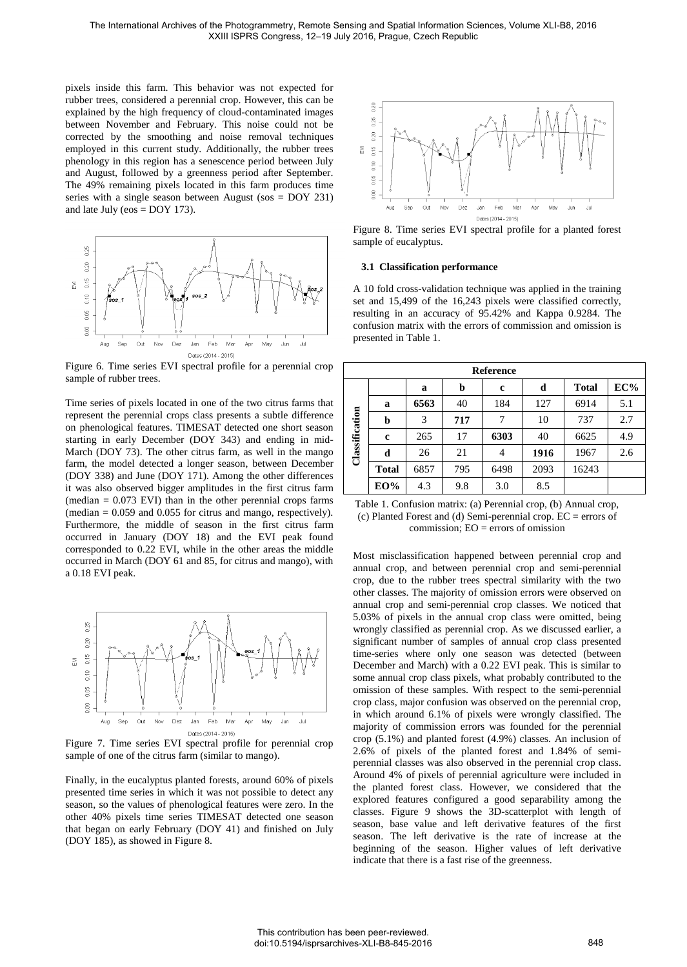pixels inside this farm. This behavior was not expected for rubber trees, considered a perennial crop. However, this can be explained by the high frequency of cloud-contaminated images between November and February. This noise could not be corrected by the smoothing and noise removal techniques employed in this current study. Additionally, the rubber trees phenology in this region has a senescence period between July and August, followed by a greenness period after September. The 49% remaining pixels located in this farm produces time series with a single season between August (sos = DOY 231) and late July ( $\cos = DOY$  173).



Figure 6. Time series EVI spectral profile for a perennial crop sample of rubber trees.

Time series of pixels located in one of the two citrus farms that represent the perennial crops class presents a subtle difference on phenological features. TIMESAT detected one short season starting in early December (DOY 343) and ending in mid-March (DOY 73). The other citrus farm, as well in the mango farm, the model detected a longer season, between December (DOY 338) and June (DOY 171). Among the other differences it was also observed bigger amplitudes in the first citrus farm  $(median = 0.073$  EVI) than in the other perennial crops farms  $(median = 0.059$  and 0.055 for citrus and mango, respectively). Furthermore, the middle of season in the first citrus farm occurred in January (DOY 18) and the EVI peak found corresponded to 0.22 EVI, while in the other areas the middle occurred in March (DOY 61 and 85, for citrus and mango), with a 0.18 EVI peak.



Figure 7. Time series EVI spectral profile for perennial crop sample of one of the citrus farm (similar to mango).

Finally, in the eucalyptus planted forests, around 60% of pixels presented time series in which it was not possible to detect any season, so the values of phenological features were zero. In the other 40% pixels time series TIMESAT detected one season that began on early February (DOY 41) and finished on July (DOY 185), as showed in Figure 8.



Figure 8. Time series EVI spectral profile for a planted forest sample of eucalyptus.

#### **3.1 Classification performance**

A 10 fold cross-validation technique was applied in the training set and 15,499 of the 16,243 pixels were classified correctly, resulting in an accuracy of 95.42% and Kappa 0.9284. The confusion matrix with the errors of commission and omission is presented in Table 1.

| <b>Reference</b> |              |      |     |      |      |              |     |
|------------------|--------------|------|-----|------|------|--------------|-----|
| Classification   |              | a    | b   | c    | d    | <b>Total</b> | EC% |
|                  | a            | 6563 | 40  | 184  | 127  | 6914         | 5.1 |
|                  | b            | 3    | 717 | 7    | 10   | 737          | 2.7 |
|                  | $\mathbf c$  | 265  | 17  | 6303 | 40   | 6625         | 4.9 |
|                  | d            | 26   | 21  | 4    | 1916 | 1967         | 2.6 |
|                  | <b>Total</b> | 6857 | 795 | 6498 | 2093 | 16243        |     |
|                  | EO%          | 4.3  | 9.8 | 3.0  | 8.5  |              |     |

Table 1. Confusion matrix: (a) Perennial crop, (b) Annual crop, (c) Planted Forest and (d) Semi-perennial crop.  $EC =$  errors of commission; EO = errors of omission

Most misclassification happened between perennial crop and annual crop, and between perennial crop and semi-perennial crop, due to the rubber trees spectral similarity with the two other classes. The majority of omission errors were observed on annual crop and semi-perennial crop classes. We noticed that 5.03% of pixels in the annual crop class were omitted, being wrongly classified as perennial crop. As we discussed earlier, a significant number of samples of annual crop class presented time-series where only one season was detected (between December and March) with a 0.22 EVI peak. This is similar to some annual crop class pixels, what probably contributed to the omission of these samples. With respect to the semi-perennial crop class, major confusion was observed on the perennial crop, in which around 6.1% of pixels were wrongly classified. The majority of commission errors was founded for the perennial crop (5.1%) and planted forest (4.9%) classes. An inclusion of 2.6% of pixels of the planted forest and 1.84% of semiperennial classes was also observed in the perennial crop class. Around 4% of pixels of perennial agriculture were included in the planted forest class. However, we considered that the explored features configured a good separability among the classes. Figure 9 shows the 3D-scatterplot with length of season, base value and left derivative features of the first season. The left derivative is the rate of increase at the beginning of the season. Higher values of left derivative indicate that there is a fast rise of the greenness.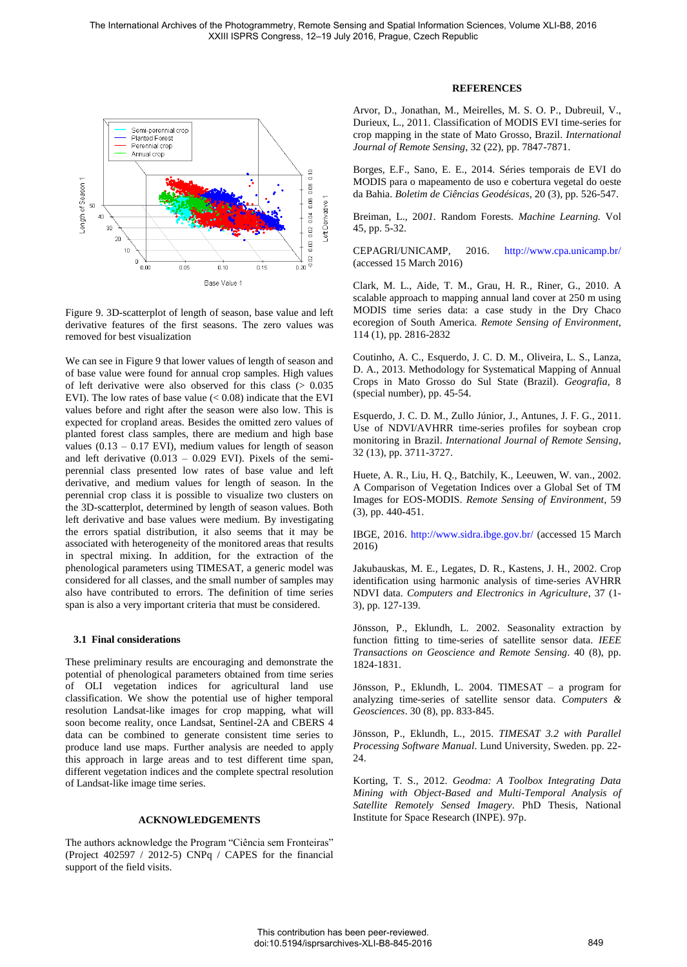

Figure 9. 3D-scatterplot of length of season, base value and left derivative features of the first seasons. The zero values was removed for best visualization

We can see in Figure 9 that lower values of length of season and of base value were found for annual crop samples. High values of left derivative were also observed for this class  $(> 0.035)$ EVI). The low rates of base value  $(< 0.08)$  indicate that the EVI values before and right after the season were also low. This is expected for cropland areas. Besides the omitted zero values of planted forest class samples, there are medium and high base values  $(0.13 - 0.17$  EVI), medium values for length of season and left derivative  $(0.013 - 0.029$  EVI). Pixels of the semiperennial class presented low rates of base value and left derivative, and medium values for length of season. In the perennial crop class it is possible to visualize two clusters on the 3D-scatterplot, determined by length of season values. Both left derivative and base values were medium. By investigating the errors spatial distribution, it also seems that it may be associated with heterogeneity of the monitored areas that results in spectral mixing. In addition, for the extraction of the phenological parameters using TIMESAT, a generic model was considered for all classes, and the small number of samples may also have contributed to errors. The definition of time series span is also a very important criteria that must be considered.

### **3.1 Final considerations**

These preliminary results are encouraging and demonstrate the potential of phenological parameters obtained from time series of OLI vegetation indices for agricultural land use classification. We show the potential use of higher temporal resolution Landsat-like images for crop mapping, what will soon become reality, once Landsat, Sentinel-2A and CBERS 4 data can be combined to generate consistent time series to produce land use maps. Further analysis are needed to apply this approach in large areas and to test different time span, different vegetation indices and the complete spectral resolution of Landsat-like image time series.

# **ACKNOWLEDGEMENTS**

The authors acknowledge the Program "Ciência sem Fronteiras" (Project  $402597 / 2012-5$ ) CNPq / CAPES for the financial support of the field visits.

### **REFERENCES**

Arvor, D., Jonathan, M., Meirelles, M. S. O. P., Dubreuil, V., Durieux, L., 2011. Classification of MODIS EVI time-series for crop mapping in the state of Mato Grosso, Brazil. *International Journal of Remote Sensing*, 32 (22), pp. 7847-7871.

Borges, E.F., Sano, E. E., 2014. Séries temporais de EVI do MODIS para o mapeamento de uso e cobertura vegetal do oeste da Bahia. *Boletim de Ciências Geodésicas*, 20 (3), pp. 526-547.

Breiman, L., 20*01.* Random Forests*. Machine Learning.* Vol 45, pp. 5-32.

CEPAGRI/UNICAMP, 2016. <http://www.cpa.unicamp.br/> (accessed 15 March 2016)

Clark, M. L., Aide, T. M., Grau, H. R., Riner, G., 2010. A scalable approach to mapping annual land cover at 250 m using MODIS time series data: a case study in the Dry Chaco ecoregion of South America. *Remote Sensing of Environment*, 114 (1), pp. 2816-2832

Coutinho, A. C., Esquerdo, J. C. D. M., Oliveira, L. S., Lanza, D. A., 2013. Methodology for Systematical Mapping of Annual Crops in Mato Grosso do Sul State (Brazil). *Geografia*, 8 (special number), pp. 45-54.

Esquerdo, J. C. D. M., Zullo Júnior, J., Antunes, J. F. G., 2011. Use of NDVI/AVHRR time-series profiles for soybean crop monitoring in Brazil. *International Journal of Remote Sensing*, 32 (13), pp. 3711-3727.

Huete, A. R., Liu, H. Q., Batchily, K., Leeuwen, W. van., 2002. A Comparison of Vegetation Indices over a Global Set of TM Images for EOS-MODIS. *Remote Sensing of Environment*, 59 (3), pp. 440-451.

IBGE, 2016.<http://www.sidra.ibge.gov.br/>(accessed 15 March 2016)

Jakubauskas, M. E., Legates, D. R., Kastens, J. H., 2002. Crop identification using harmonic analysis of time-series AVHRR NDVI data. *Computers and Electronics in Agriculture*, 37 (1- 3), pp. 127-139.

Jönsson, P., Eklundh, L. 2002. Seasonality extraction by function fitting to time-series of satellite sensor data. *IEEE Transactions on Geoscience and Remote Sensing*. 40 (8), pp. 1824-1831.

Jönsson, P., Eklundh, L. 2004. TIMESAT – a program for analyzing time-series of satellite sensor data. *Computers & Geosciences*. 30 (8), pp. 833-845.

Jönsson, P., Eklundh, L., 2015. *TIMESAT 3.2 with Parallel Processing Software Manual*. Lund University, Sweden. pp. 22- 24.

Korting, T. S., 2012. *Geodma: A Toolbox Integrating Data Mining with Object-Based and Multi-Temporal Analysis of Satellite Remotely Sensed Imagery*. PhD Thesis, National Institute for Space Research (INPE). 97p.